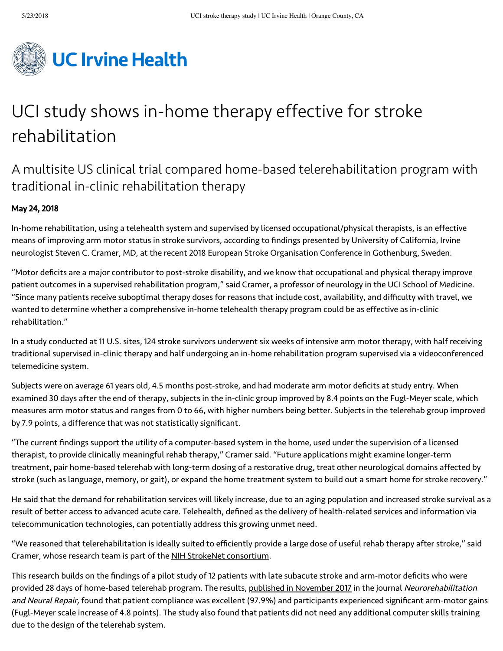

# UCI study shows in-home therapy effective for stroke rehabilitation

# A multisite US clinical trial compared home-based telerehabilitation program with traditional in-clinic rehabilitation therapy

## May 24, 2018

In-home rehabilitation, using a telehealth system and supervised by licensed occupational/physical therapists, is an effective means of improving arm motor status in stroke survivors, according to findings presented by University of California, Irvine neurologist Steven C. Cramer, MD, at the recent 2018 European Stroke Organisation Conference in Gothenburg, Sweden.

"Motor deficits are a major contributor to post-stroke disability, and we know that occupational and physical therapy improve patient outcomes in a supervised rehabilitation program," said Cramer, a professor of neurology in the UCI School of Medicine. "Since many patients receive suboptimal therapy doses for reasons that include cost, availability, and difficulty with travel, we wanted to determine whether a comprehensive in-home telehealth therapy program could be as effective as in-clinic rehabilitation."

In a study conducted at 11 U.S. sites, 124 stroke survivors underwent six weeks of intensive arm motor therapy, with half receiving traditional supervised in-clinic therapy and half undergoing an in-home rehabilitation program supervised via a videoconferenced telemedicine system.

Subjects were on average 61 years old, 4.5 months post-stroke, and had moderate arm motor deficits at study entry. When examined 30 days after the end of therapy, subjects in the in-clinic group improved by 8.4 points on the Fugl-Meyer scale, which measures arm motor status and ranges from 0 to 66, with higher numbers being better. Subjects in the telerehab group improved by 7.9 points, a difference that was not statistically significant.

"The current findings support the utility of a computer-based system in the home, used under the supervision of a licensed therapist, to provide clinically meaningful rehab therapy," Cramer said. "Future applications might examine longer-term treatment, pair home-based telerehab with long-term dosing of a restorative drug, treat other neurological domains affected by stroke (such as language, memory, or gait), or expand the home treatment system to build out a smart home for stroke recovery."

He said that the demand for rehabilitation services will likely increase, due to an aging population and increased stroke survival as a result of better access to advanced acute care. Telehealth, defined as the delivery of health-related services and information via telecommunication technologies, can potentially address this growing unmet need.

"We reasoned that telerehabilitation is ideally suited to efficiently provide a large dose of useful rehab therapy after stroke," said Cramer, whose research team is part of the [NIH StrokeNet consortium.](https://www.nihstrokenet.org/)

This research builds on the findings of a pilot study of 12 patients with late subacute stroke and arm-motor deficits who were provided 28 days of home-based telerehab program. The results, [published in November 2017](http://journals.sagepub.com/doi/abs/10.1177/1545968317733818) in the journal Neurorehabilitation and Neural Repair, found that patient compliance was excellent (97.9%) and participants experienced significant arm-motor gains (Fugl-Meyer scale increase of 4.8 points). The study also found that patients did not need any additional computer skills training due to the design of the telerehab system.